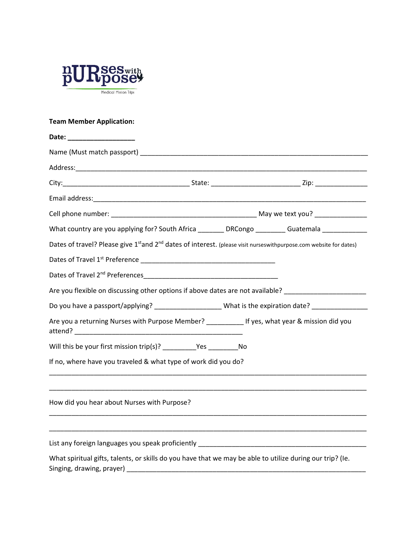

## **Team Member Application:**

| Date: ____________________                                                                                                                 |  |  |  |  |  |
|--------------------------------------------------------------------------------------------------------------------------------------------|--|--|--|--|--|
|                                                                                                                                            |  |  |  |  |  |
|                                                                                                                                            |  |  |  |  |  |
|                                                                                                                                            |  |  |  |  |  |
|                                                                                                                                            |  |  |  |  |  |
|                                                                                                                                            |  |  |  |  |  |
| What country are you applying for? South Africa ________ DRCongo ________ Guatemala ___________                                            |  |  |  |  |  |
| Dates of travel? Please give 1 <sup>st</sup> and 2 <sup>nd</sup> dates of interest. (please visit nurseswithpurpose.com website for dates) |  |  |  |  |  |
|                                                                                                                                            |  |  |  |  |  |
|                                                                                                                                            |  |  |  |  |  |
| Are you flexible on discussing other options if above dates are not available? ____________________                                        |  |  |  |  |  |
|                                                                                                                                            |  |  |  |  |  |
| Are you a returning Nurses with Purpose Member? If yes, what year & mission did you                                                        |  |  |  |  |  |
|                                                                                                                                            |  |  |  |  |  |
| If no, where have you traveled & what type of work did you do?                                                                             |  |  |  |  |  |
| How did you hear about Nurses with Purpose?                                                                                                |  |  |  |  |  |
|                                                                                                                                            |  |  |  |  |  |
| What spiritual gifts, talents, or skills do you have that we may be able to utilize during our trip? (Ie.                                  |  |  |  |  |  |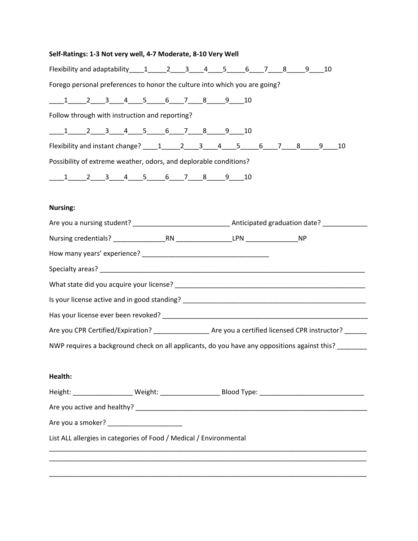| Self-Ratings: 1-3 Not very well, 4-7 Moderate, 8-10 Very Well |  |  |  |
|---------------------------------------------------------------|--|--|--|
|---------------------------------------------------------------|--|--|--|

| Flexibility and adaptability $1 \t2 \t3 \t4 \t5 \t6 \t7 \t8 \t9 \t10$                                          |  |  |
|----------------------------------------------------------------------------------------------------------------|--|--|
| Forego personal preferences to honor the culture into which you are going?                                     |  |  |
| $\underbrace{1 \qquad 2 \qquad 3 \qquad 4 \qquad 5 \qquad 6 \qquad 7 \qquad 8 \qquad 9 \qquad 10}$             |  |  |
| Follow through with instruction and reporting?                                                                 |  |  |
| $\underbrace{1 \qquad 2 \qquad 3 \qquad 4 \qquad 5 \qquad 6 \qquad 7 \qquad 8 \qquad 9 \qquad 10}$             |  |  |
|                                                                                                                |  |  |
| Possibility of extreme weather, odors, and deplorable conditions?                                              |  |  |
| $\underbrace{1 \qquad 2 \qquad 3 \qquad 4 \qquad 5 \qquad 6 \qquad 7 \qquad 8 \qquad 9 \qquad 10}$             |  |  |
| <b>Nursing:</b>                                                                                                |  |  |
|                                                                                                                |  |  |
|                                                                                                                |  |  |
|                                                                                                                |  |  |
|                                                                                                                |  |  |
|                                                                                                                |  |  |
|                                                                                                                |  |  |
|                                                                                                                |  |  |
| Are you CPR Certified/Expiration? ___________________Are you a certified licensed CPR instructor? ______       |  |  |
| NWP requires a background check on all applicants, do you have any oppositions against this?                   |  |  |
| Health:                                                                                                        |  |  |
| Height: _____________________Weight: ___________________________Blood Type: __________________________________ |  |  |
|                                                                                                                |  |  |
|                                                                                                                |  |  |
| List ALL allergies in categories of Food / Medical / Environmental                                             |  |  |
|                                                                                                                |  |  |
|                                                                                                                |  |  |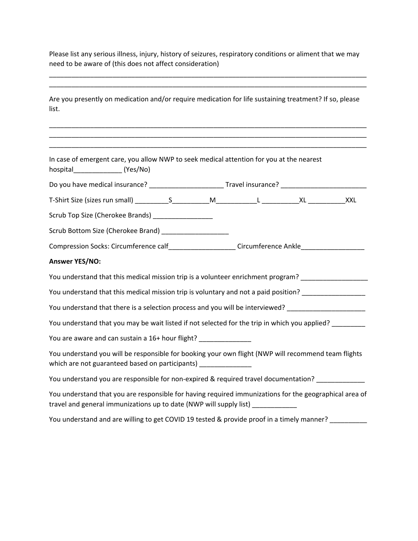Please list any serious illness, injury, history of seizures, respiratory conditions or aliment that we may need to be aware of (this does not affect consideration)

\_\_\_\_\_\_\_\_\_\_\_\_\_\_\_\_\_\_\_\_\_\_\_\_\_\_\_\_\_\_\_\_\_\_\_\_\_\_\_\_\_\_\_\_\_\_\_\_\_\_\_\_\_\_\_\_\_\_\_\_\_\_\_\_\_\_\_\_\_\_\_\_\_\_\_\_\_\_\_\_\_\_\_\_\_

\_\_\_\_\_\_\_\_\_\_\_\_\_\_\_\_\_\_\_\_\_\_\_\_\_\_\_\_\_\_\_\_\_\_\_\_\_\_\_\_\_\_\_\_\_\_\_\_\_\_\_\_\_\_\_\_\_\_\_\_\_\_\_\_\_\_\_\_\_\_\_\_\_\_\_\_\_\_\_\_\_\_\_\_\_

Are you presently on medication and/or require medication for life sustaining treatment? If so, please list.

\_\_\_\_\_\_\_\_\_\_\_\_\_\_\_\_\_\_\_\_\_\_\_\_\_\_\_\_\_\_\_\_\_\_\_\_\_\_\_\_\_\_\_\_\_\_\_\_\_\_\_\_\_\_\_\_\_\_\_\_\_\_\_\_\_\_\_\_\_\_\_\_\_\_\_\_\_\_\_\_\_\_\_\_\_ \_\_\_\_\_\_\_\_\_\_\_\_\_\_\_\_\_\_\_\_\_\_\_\_\_\_\_\_\_\_\_\_\_\_\_\_\_\_\_\_\_\_\_\_\_\_\_\_\_\_\_\_\_\_\_\_\_\_\_\_\_\_\_\_\_\_\_\_\_\_\_\_\_\_\_\_\_\_\_\_\_\_\_\_\_

\_\_\_\_\_\_\_\_\_\_\_\_\_\_\_\_\_\_\_\_\_\_\_\_\_\_\_\_\_\_\_\_\_\_\_\_\_\_\_\_\_\_\_\_\_\_\_\_\_\_\_\_\_\_\_\_\_\_\_\_\_\_\_\_\_\_\_\_\_\_\_\_\_\_\_\_\_\_\_\_\_\_\_\_\_

| In case of emergent care, you allow NWP to seek medical attention for you at the nearest<br>hospital___________________(Yes/No)                                                            |  |  |  |
|--------------------------------------------------------------------------------------------------------------------------------------------------------------------------------------------|--|--|--|
| Do you have medical insurance? _________________________Travel insurance? _________________________                                                                                        |  |  |  |
|                                                                                                                                                                                            |  |  |  |
| Scrub Top Size (Cherokee Brands) ___________________                                                                                                                                       |  |  |  |
| Scrub Bottom Size (Cherokee Brand) ______________________                                                                                                                                  |  |  |  |
| Compression Socks: Circumference calf_____________________Circumference Ankle______________________                                                                                        |  |  |  |
| <b>Answer YES/NO:</b>                                                                                                                                                                      |  |  |  |
| You understand that this medical mission trip is a volunteer enrichment program?                                                                                                           |  |  |  |
| You understand that this medical mission trip is voluntary and not a paid position? _______________                                                                                        |  |  |  |
| You understand that there is a selection process and you will be interviewed? _____________________                                                                                        |  |  |  |
| You understand that you may be wait listed if not selected for the trip in which you applied? _________                                                                                    |  |  |  |
| You are aware and can sustain a 16+ hour flight? _________________                                                                                                                         |  |  |  |
| You understand you will be responsible for booking your own flight (NWP will recommend team flights<br>which are not guaranteed based on participants) _______________                     |  |  |  |
| You understand you are responsible for non-expired & required travel documentation? _____________                                                                                          |  |  |  |
| You understand that you are responsible for having required immunizations for the geographical area of<br>travel and general immunizations up to date (NWP will supply list) _____________ |  |  |  |
| You understand and are willing to get COVID 19 tested & provide proof in a timely manner?                                                                                                  |  |  |  |